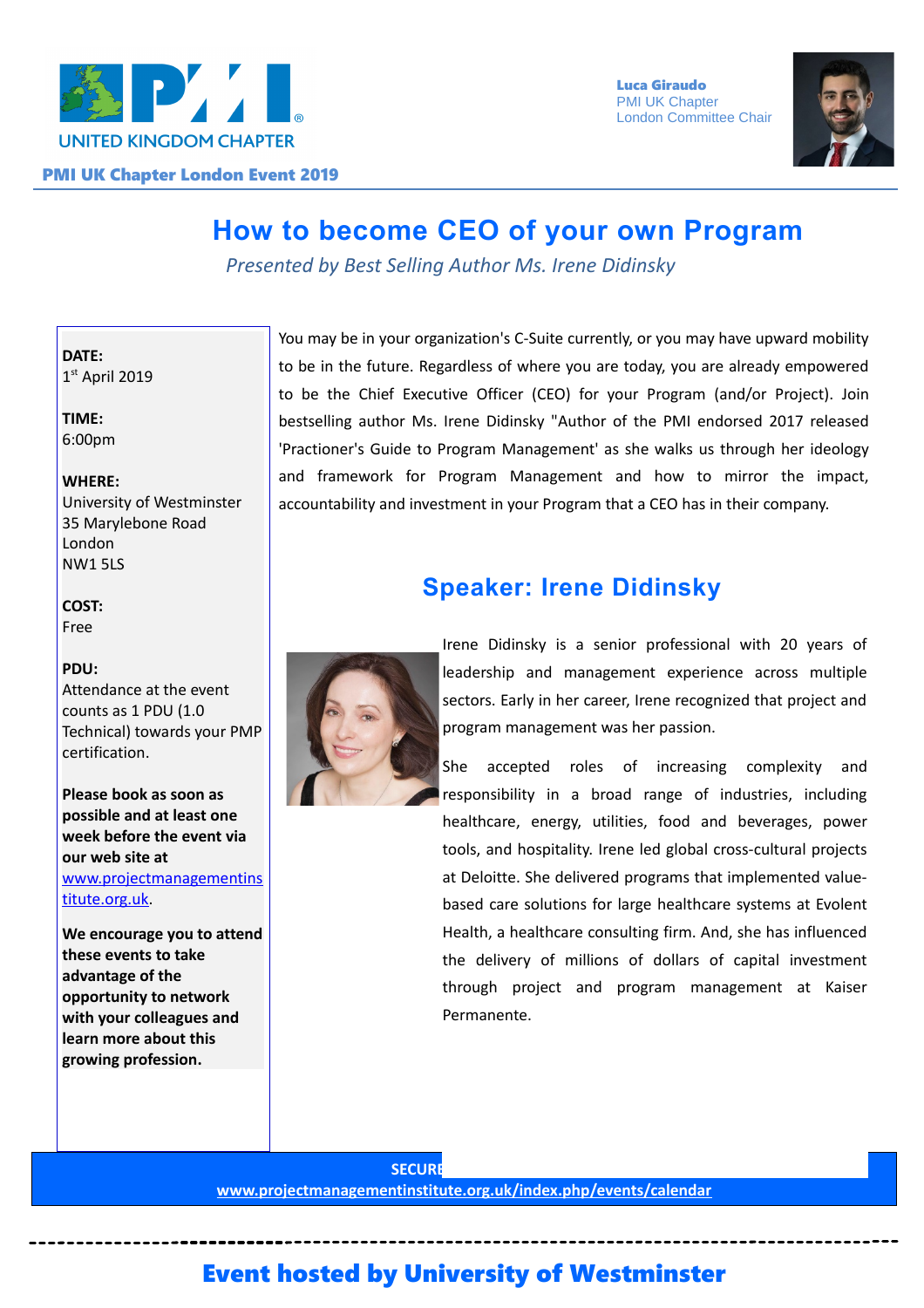

 Luca Giraudo **PMI UK Chapter** London Committee Chair



# **How to become CEO of your own Program**

*Presented by Best Selling Author Ms. Irene Didinsky*

**DATE:** 1 st April 2019

**TIME:** 6:00pm

#### **WHERE:**

University of Westminster 35 Marylebone Road London NW1 5LS

**COST:** Free

#### **PDU:**

Attendance at the event counts as 1 PDU (1.0 Technical) towards your PMP certification.

**Please book as soon as possible and at least one week before the event via our web site at** [www.projectmanagementins](http://www.projectmanagementinstitute.org.uk/) [titute.org.uk.](http://www.projectmanagementinstitute.org.uk/)

**We encourage you to attend these events to take advantage of the opportunity to network with your colleagues and learn more about this growing profession.**

You may be in your organization's C-Suite currently, or you may have upward mobility to be in the future. Regardless of where you are today, you are already empowered to be the Chief Executive Officer (CEO) for your Program (and/or Project). Join bestselling author Ms. Irene Didinsky "Author of the PMI endorsed 2017 released 'Practioner's Guide to Program Management' as she walks us through her ideology and framework for Program Management and how to mirror the impact, accountability and investment in your Program that a CEO has in their company.

## **Speaker: Irene Didinsky**



Irene Didinsky is a senior professional with 20 years of leadership and management experience across multiple sectors. Early in her career, Irene recognized that project and program management was her passion.

She accepted roles of increasing complexity and responsibility in a broad range of industries, including healthcare, energy, utilities, food and beverages, power tools, and hospitality. Irene led global cross-cultural projects at Deloitte. She delivered programs that implemented valuebased care solutions for large healthcare systems at Evolent Health, a healthcare consulting firm. And, she has influenced the delivery of millions of dollars of capital investment through project and program management at Kaiser Permanente.

**SECURE www.projectmanagementinstitute.org.uk/index.php/events/calendar**

## Event hosted by University of Westminster